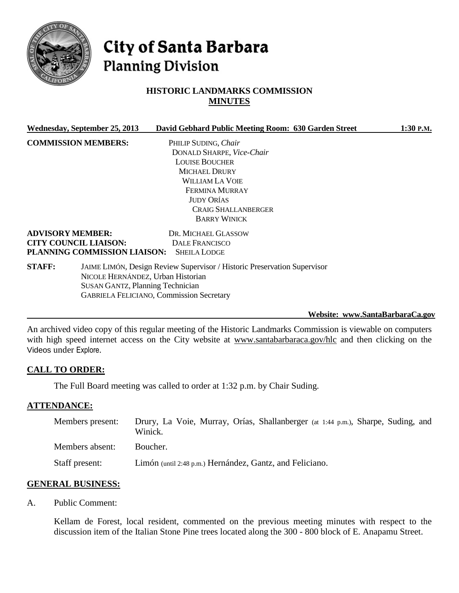

# City of Santa Barbara **Planning Division**

# **HISTORIC LANDMARKS COMMISSION MINUTES**

|               | Wednesday, September 25, 2013           | David Gebhard Public Meeting Room: 630 Garden Street                     | 1:30 P.M. |
|---------------|-----------------------------------------|--------------------------------------------------------------------------|-----------|
|               | <b>COMMISSION MEMBERS:</b>              | PHILIP SUDING, Chair                                                     |           |
|               |                                         | DONALD SHARPE, Vice-Chair                                                |           |
|               |                                         | <b>LOUISE BOUCHER</b>                                                    |           |
|               |                                         | <b>MICHAEL DRURY</b>                                                     |           |
|               |                                         | William La Voie                                                          |           |
|               |                                         | <b>FERMINA MURRAY</b>                                                    |           |
|               |                                         | <b>JUDY ORÍAS</b>                                                        |           |
|               |                                         | <b>CRAIG SHALLANBERGER</b>                                               |           |
|               |                                         | <b>BARRY WINICK</b>                                                      |           |
|               | <b>ADVISORY MEMBER:</b>                 | DR. MICHAEL GLASSOW                                                      |           |
|               | <b>CITY COUNCIL LIAISON:</b>            | DALE FRANCISCO                                                           |           |
|               | PLANNING COMMISSION LIAISON:            | <b>SHEILA LODGE</b>                                                      |           |
| <b>STAFF:</b> |                                         | JAIME LIMÓN, Design Review Supervisor / Historic Preservation Supervisor |           |
|               | NICOLE HERNÁNDEZ, Urban Historian       |                                                                          |           |
|               | <b>SUSAN GANTZ, Planning Technician</b> |                                                                          |           |
|               |                                         | <b>GABRIELA FELICIANO, Commission Secretary</b>                          |           |

**Website: [www.SantaBarbaraCa.gov](http://www.santabarbaraca.gov/)**

An archived video copy of this regular meeting of the Historic Landmarks Commission is viewable on computers with high speed internet access on the City website at [www.santabarbaraca.gov/hlc](http://www.santabarbaraca.gov/hlc) and then clicking on the Videos under Explore.

### **CALL TO ORDER:**

The Full Board meeting was called to order at 1:32 p.m. by Chair Suding.

#### **ATTENDANCE:**

| Members present: | Drury, La Voie, Murray, Orías, Shallanberger (at 1:44 p.m.), Sharpe, Suding, and<br>Winick. |
|------------------|---------------------------------------------------------------------------------------------|
| Members absent:  | Boucher.                                                                                    |
| Staff present:   | Limón (until 2:48 p.m.) Hernández, Gantz, and Feliciano.                                    |

#### **GENERAL BUSINESS:**

A. Public Comment:

Kellam de Forest, local resident, commented on the previous meeting minutes with respect to the discussion item of the Italian Stone Pine trees located along the 300 - 800 block of E. Anapamu Street.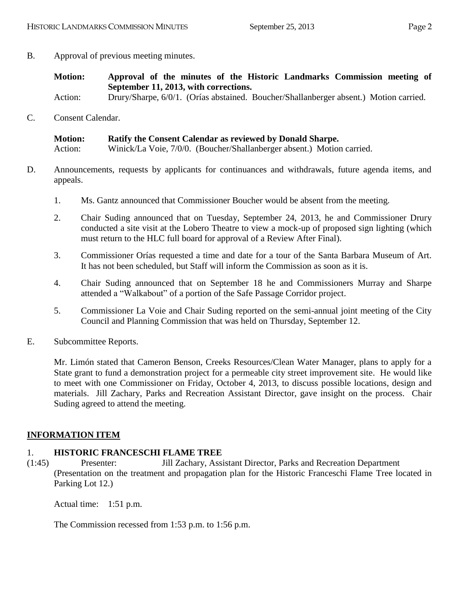- B. Approval of previous meeting minutes.
	- **Motion: Approval of the minutes of the Historic Landmarks Commission meeting of September 11, 2013, with corrections.** Action: Drury/Sharpe, 6/0/1. (Orías abstained. Boucher/Shallanberger absent.) Motion carried.
- 
- C. Consent Calendar.

| <b>Motion:</b> | Ratify the Consent Calendar as reviewed by Donald Sharpe.              |
|----------------|------------------------------------------------------------------------|
| Action:        | Winick/La Voie, 7/0/0. (Boucher/Shallanberger absent.) Motion carried. |

- D. Announcements, requests by applicants for continuances and withdrawals, future agenda items, and appeals.
	- 1. Ms. Gantz announced that Commissioner Boucher would be absent from the meeting.
	- 2. Chair Suding announced that on Tuesday, September 24, 2013, he and Commissioner Drury conducted a site visit at the Lobero Theatre to view a mock-up of proposed sign lighting (which must return to the HLC full board for approval of a Review After Final).
	- 3. Commissioner Orías requested a time and date for a tour of the Santa Barbara Museum of Art. It has not been scheduled, but Staff will inform the Commission as soon as it is.
	- 4. Chair Suding announced that on September 18 he and Commissioners Murray and Sharpe attended a "Walkabout" of a portion of the Safe Passage Corridor project.
	- 5. Commissioner La Voie and Chair Suding reported on the semi-annual joint meeting of the City Council and Planning Commission that was held on Thursday, September 12.
- E. Subcommittee Reports.

Mr. Limón stated that Cameron Benson, Creeks Resources/Clean Water Manager, plans to apply for a State grant to fund a demonstration project for a permeable city street improvement site. He would like to meet with one Commissioner on Friday, October 4, 2013, to discuss possible locations, design and materials. Jill Zachary, Parks and Recreation Assistant Director, gave insight on the process. Chair Suding agreed to attend the meeting.

# **INFORMATION ITEM**

### 1. **HISTORIC FRANCESCHI FLAME TREE**

(1:45) Presenter: Jill Zachary, Assistant Director, Parks and Recreation Department (Presentation on the treatment and propagation plan for the Historic Franceschi Flame Tree located in Parking Lot 12.)

Actual time: 1:51 p.m.

The Commission recessed from 1:53 p.m. to 1:56 p.m.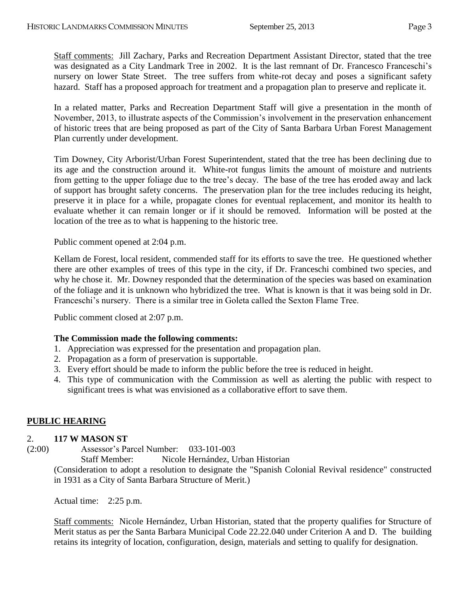Staff comments: Jill Zachary, Parks and Recreation Department Assistant Director, stated that the tree was designated as a City Landmark Tree in 2002. It is the last remnant of Dr. Francesco Franceschi's nursery on lower State Street. The tree suffers from white-rot decay and poses a significant safety hazard. Staff has a proposed approach for treatment and a propagation plan to preserve and replicate it.

In a related matter, Parks and Recreation Department Staff will give a presentation in the month of November, 2013, to illustrate aspects of the Commission's involvement in the preservation enhancement of historic trees that are being proposed as part of the City of Santa Barbara Urban Forest Management Plan currently under development.

Tim Downey, City Arborist/Urban Forest Superintendent, stated that the tree has been declining due to its age and the construction around it. White-rot fungus limits the amount of moisture and nutrients from getting to the upper foliage due to the tree's decay. The base of the tree has eroded away and lack of support has brought safety concerns. The preservation plan for the tree includes reducing its height, preserve it in place for a while, propagate clones for eventual replacement, and monitor its health to evaluate whether it can remain longer or if it should be removed. Information will be posted at the location of the tree as to what is happening to the historic tree.

Public comment opened at 2:04 p.m.

Kellam de Forest, local resident, commended staff for its efforts to save the tree. He questioned whether there are other examples of trees of this type in the city, if Dr. Franceschi combined two species, and why he chose it. Mr. Downey responded that the determination of the species was based on examination of the foliage and it is unknown who hybridized the tree. What is known is that it was being sold in Dr. Franceschi's nursery. There is a similar tree in Goleta called the Sexton Flame Tree.

Public comment closed at 2:07 p.m.

### **The Commission made the following comments:**

- 1. Appreciation was expressed for the presentation and propagation plan.
- 2. Propagation as a form of preservation is supportable.
- 3. Every effort should be made to inform the public before the tree is reduced in height.
- 4. This type of communication with the Commission as well as alerting the public with respect to significant trees is what was envisioned as a collaborative effort to save them.

# **PUBLIC HEARING**

### 2. **117 W MASON ST**

(2:00) Assessor's Parcel Number: 033-101-003

Staff Member: Nicole Hernández, Urban Historian

(Consideration to adopt a resolution to designate the "Spanish Colonial Revival residence" constructed in 1931 as a City of Santa Barbara Structure of Merit.)

Actual time: 2:25 p.m.

Staff comments: Nicole Hernández, Urban Historian, stated that the property qualifies for Structure of Merit status as per the Santa Barbara Municipal Code 22.22.040 under Criterion A and D. The building retains its integrity of location, configuration, design, materials and setting to qualify for designation.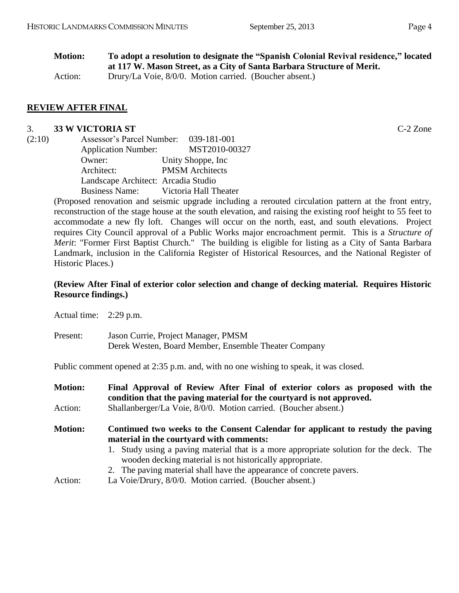| <b>Motion:</b> | To adopt a resolution to designate the "Spanish Colonial Revival residence," located |
|----------------|--------------------------------------------------------------------------------------|
|                | at 117 W. Mason Street, as a City of Santa Barbara Structure of Merit.               |
| Action:        | Drury/La Voie, 8/0/0. Motion carried. (Boucher absent.)                              |

#### **REVIEW AFTER FINAL**

#### 3. **33 W VICTORIA ST** C-2 Zone

| (2:10) | Assessor's Parcel Number: 039-181-001 |                        |
|--------|---------------------------------------|------------------------|
|        | <b>Application Number:</b>            | MST2010-00327          |
|        | Owner:                                | Unity Shoppe, Inc.     |
|        | Architect:                            | <b>PMSM</b> Architects |
|        | Landscape Architect: Arcadia Studio   |                        |
|        | <b>Business Name:</b>                 | Victoria Hall Theater  |

(Proposed renovation and seismic upgrade including a rerouted circulation pattern at the front entry, reconstruction of the stage house at the south elevation, and raising the existing roof height to 55 feet to accommodate a new fly loft. Changes will occur on the north, east, and south elevations. Project requires City Council approval of a Public Works major encroachment permit. This is a *Structure of Merit*: "Former First Baptist Church." The building is eligible for listing as a City of Santa Barbara Landmark, inclusion in the California Register of Historical Resources, and the National Register of Historic Places.)

#### **(Review After Final of exterior color selection and change of decking material. Requires Historic Resource findings.)**

Actual time: 2:29 p.m.

Present: Jason Currie, Project Manager, PMSM Derek Westen, Board Member, Ensemble Theater Company

Public comment opened at 2:35 p.m. and, with no one wishing to speak, it was closed.

| <b>Motion:</b> | Final Approval of Review After Final of exterior colors as proposed with the<br>condition that the paving material for the courty and is not approved. |  |  |
|----------------|--------------------------------------------------------------------------------------------------------------------------------------------------------|--|--|
| Action:        | Shallanberger/La Voie, 8/0/0. Motion carried. (Boucher absent.)                                                                                        |  |  |
| <b>Motion:</b> | Continued two weeks to the Consent Calendar for applicant to restudy the paving<br>material in the courty and with comments:                           |  |  |
|                | 1. Study using a paving material that is a more appropriate solution for the deck. The<br>wooden decking material is not historically appropriate.     |  |  |
|                | 2. The paving material shall have the appearance of concrete pavers.                                                                                   |  |  |
| Action:        | La Voie/Drury, 8/0/0. Motion carried. (Boucher absent.)                                                                                                |  |  |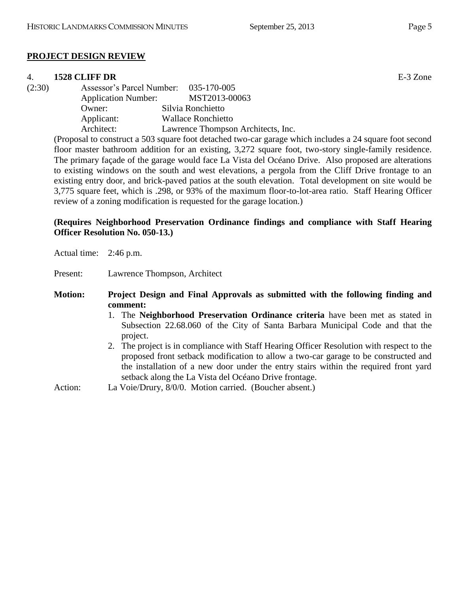### **PROJECT DESIGN REVIEW**

#### 4. **1528 CLIFF DR** E-3 Zone

| (2:30) |                            | Assessor's Parcel Number: 035-170-005 |  |
|--------|----------------------------|---------------------------------------|--|
|        | <b>Application Number:</b> | MST2013-00063                         |  |
|        | Owner:                     | Silvia Ronchietto                     |  |
|        | Applicant:                 | <b>Wallace Ronchietto</b>             |  |
|        | Architect:                 | Lawrence Thompson Architects, Inc.    |  |
|        |                            |                                       |  |

(Proposal to construct a 503 square foot detached two-car garage which includes a 24 square foot second floor master bathroom addition for an existing, 3,272 square foot, two-story single-family residence. The primary façade of the garage would face La Vista del Océano Drive. Also proposed are alterations to existing windows on the south and west elevations, a pergola from the Cliff Drive frontage to an existing entry door, and brick-paved patios at the south elevation. Total development on site would be 3,775 square feet, which is .298, or 93% of the maximum floor-to-lot-area ratio. Staff Hearing Officer review of a zoning modification is requested for the garage location.)

### **(Requires Neighborhood Preservation Ordinance findings and compliance with Staff Hearing Officer Resolution No. 050-13.)**

Actual time: 2:46 p.m.

Present: Lawrence Thompson, Architect

**Motion: Project Design and Final Approvals as submitted with the following finding and comment:**

- 1. The **Neighborhood Preservation Ordinance criteria** have been met as stated in Subsection 22.68.060 of the City of Santa Barbara Municipal Code and that the project.
- 2. The project is in compliance with Staff Hearing Officer Resolution with respect to the proposed front setback modification to allow a two-car garage to be constructed and the installation of a new door under the entry stairs within the required front yard setback along the La Vista del Océano Drive frontage.

Action: La Voie/Drury, 8/0/0. Motion carried. (Boucher absent.)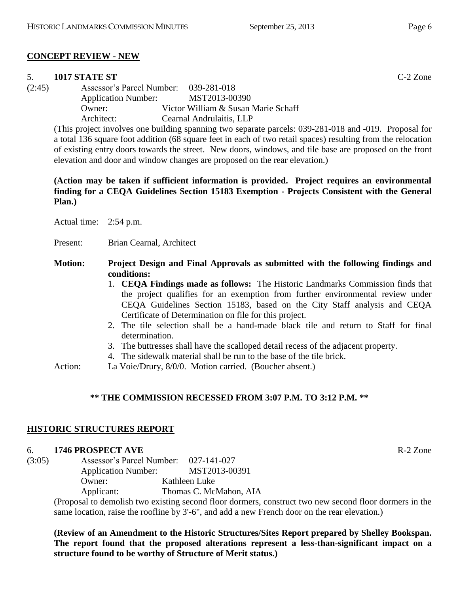### **CONCEPT REVIEW - NEW**

#### 5. **1017 STATE ST** C-2 Zone

(2:45) Assessor's Parcel Number: 039-281-018 Application Number: MST2013-00390 Owner: Victor William & Susan Marie Schaff

Architect: Cearnal Andrulaitis, LLP

(This project involves one building spanning two separate parcels: 039-281-018 and -019. Proposal for a total 136 square foot addition (68 square feet in each of two retail spaces) resulting from the relocation of existing entry doors towards the street. New doors, windows, and tile base are proposed on the front elevation and door and window changes are proposed on the rear elevation.)

### **(Action may be taken if sufficient information is provided. Project requires an environmental finding for a CEQA Guidelines Section 15183 Exemption - Projects Consistent with the General Plan.)**

Actual time: 2:54 p.m.

Present: Brian Cearnal, Architect

### **Motion: Project Design and Final Approvals as submitted with the following findings and conditions:**

- 1. **CEQA Findings made as follows:** The Historic Landmarks Commission finds that the project qualifies for an exemption from further environmental review under CEQA Guidelines Section 15183, based on the City Staff analysis and CEQA Certificate of Determination on file for this project.
- 2. The tile selection shall be a hand-made black tile and return to Staff for final determination.
- 3. The buttresses shall have the scalloped detail recess of the adjacent property.
- 4. The sidewalk material shall be run to the base of the tile brick.
- Action: La Voie/Drury, 8/0/0. Motion carried. (Boucher absent.)

### **\*\* THE COMMISSION RECESSED FROM 3:07 P.M. TO 3:12 P.M. \*\***

### **HISTORIC STRUCTURES REPORT**

#### 6. **1746 PROSPECT AVE** R-2 Zone

| (3:05) | Assessor's Parcel Number:  | 027-141-027            |
|--------|----------------------------|------------------------|
|        | <b>Application Number:</b> | MST2013-00391          |
|        | Owner:                     | Kathleen Luke          |
|        | Applicant:                 | Thomas C. McMahon, AIA |

(Proposal to demolish two existing second floor dormers, construct two new second floor dormers in the same location, raise the roofline by 3'-6", and add a new French door on the rear elevation.)

**(Review of an Amendment to the Historic Structures/Sites Report prepared by Shelley Bookspan. The report found that the proposed alterations represent a less-than-significant impact on a structure found to be worthy of Structure of Merit status.)**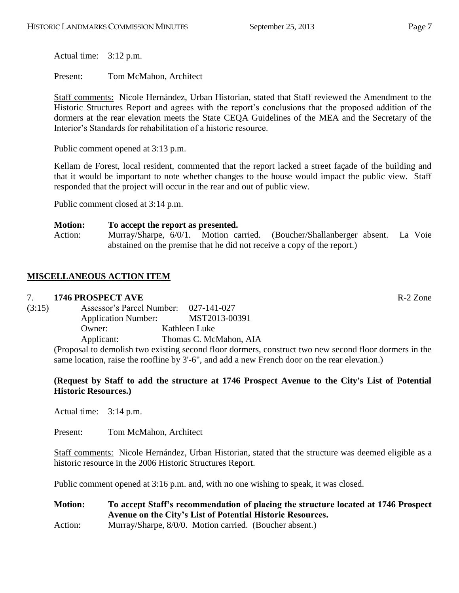Actual time: 3:12 p.m.

Present: Tom McMahon, Architect

Staff comments: Nicole Hernández, Urban Historian, stated that Staff reviewed the Amendment to the Historic Structures Report and agrees with the report's conclusions that the proposed addition of the dormers at the rear elevation meets the State CEQA Guidelines of the MEA and the Secretary of the Interior's Standards for rehabilitation of a historic resource.

Public comment opened at 3:13 p.m.

Kellam de Forest, local resident, commented that the report lacked a street façade of the building and that it would be important to note whether changes to the house would impact the public view. Staff responded that the project will occur in the rear and out of public view.

Public comment closed at 3:14 p.m.

#### **Motion: To accept the report as presented.**

Action: Murray/Sharpe, 6/0/1. Motion carried. (Boucher/Shallanberger absent. La Voie abstained on the premise that he did not receive a copy of the report.)

# **MISCELLANEOUS ACTION ITEM**

#### 7. **1746 PROSPECT AVE** R-2 Zone

| (3:15) | Assessor's Parcel Number:                                | 027-141-027            |
|--------|----------------------------------------------------------|------------------------|
|        | <b>Application Number:</b>                               | MST2013-00391          |
|        | Owner:                                                   | Kathleen Luke          |
|        | Applicant:                                               | Thomas C. McMahon, AIA |
|        | (Droposal to demolish two evicting second floor dermore) |                        |

(Proposal to demolish two existing second floor dormers, construct two new second floor dormers in the same location, raise the roofline by 3'-6", and add a new French door on the rear elevation.)

#### **(Request by Staff to add the structure at 1746 Prospect Avenue to the City's List of Potential Historic Resources.)**

Actual time: 3:14 p.m.

Present: Tom McMahon, Architect

Staff comments: Nicole Hernández, Urban Historian, stated that the structure was deemed eligible as a historic resource in the 2006 Historic Structures Report.

Public comment opened at 3:16 p.m. and, with no one wishing to speak, it was closed.

**Motion: To accept Staff's recommendation of placing the structure located at 1746 Prospect Avenue on the City's List of Potential Historic Resources.** Action: Murray/Sharpe, 8/0/0. Motion carried. (Boucher absent.)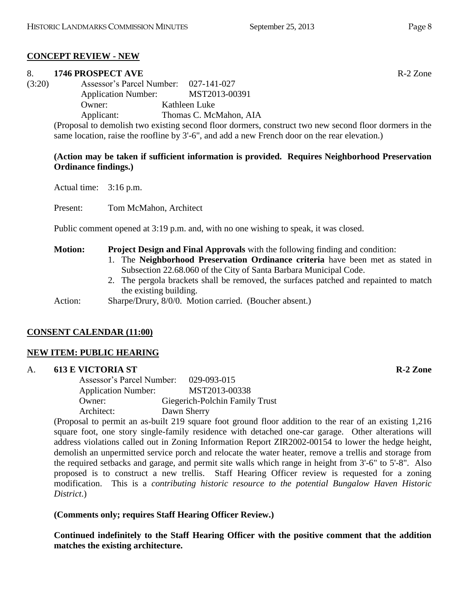# **CONCEPT REVIEW - NEW**

# 8. **1746 PROSPECT AVE** R-2 Zone

(3:20) Assessor's Parcel Number: 027-141-027 Application Number: MST2013-00391 Owner: Kathleen Luke Applicant: Thomas C. McMahon, AIA

> (Proposal to demolish two existing second floor dormers, construct two new second floor dormers in the same location, raise the roofline by 3'-6", and add a new French door on the rear elevation.)

# **(Action may be taken if sufficient information is provided. Requires Neighborhood Preservation Ordinance findings.)**

Actual time: 3:16 p.m.

Present: Tom McMahon, Architect

Public comment opened at 3:19 p.m. and, with no one wishing to speak, it was closed.

# **Motion: Project Design and Final Approvals** with the following finding and condition:

- 1. The **Neighborhood Preservation Ordinance criteria** have been met as stated in Subsection 22.68.060 of the City of Santa Barbara Municipal Code.
- 2. The pergola brackets shall be removed, the surfaces patched and repainted to match the existing building.

Action: Sharpe/Drury, 8/0/0. Motion carried. (Boucher absent.)

# **CONSENT CALENDAR (11:00)**

# **NEW ITEM: PUBLIC HEARING**

# A. **613 E VICTORIA ST R-2 Zone**

Assessor's Parcel Number: 029-093-015 Application Number: MST2013-00338 Owner: Giegerich-Polchin Family Trust Architect: Dawn Sherry

(Proposal to permit an as-built 219 square foot ground floor addition to the rear of an existing 1,216 square foot, one story single-family residence with detached one-car garage. Other alterations will address violations called out in Zoning Information Report ZIR2002-00154 to lower the hedge height, demolish an unpermitted service porch and relocate the water heater, remove a trellis and storage from the required setbacks and garage, and permit site walls which range in height from 3'-6" to 5'-8". Also proposed is to construct a new trellis. Staff Hearing Officer review is requested for a zoning modification. This is a *contributing historic resource to the potential Bungalow Haven Historic District*.)

# **(Comments only; requires Staff Hearing Officer Review.)**

**Continued indefinitely to the Staff Hearing Officer with the positive comment that the addition matches the existing architecture.**